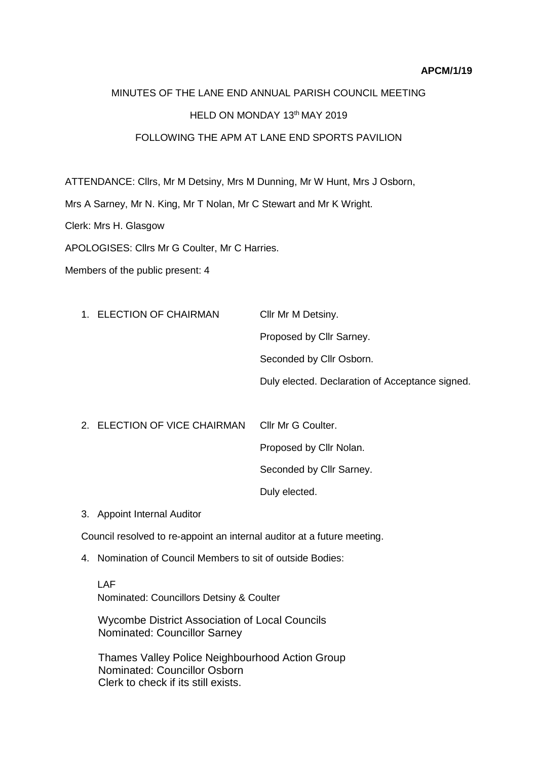## **APCM/1/19**

## MINUTES OF THE LANE END ANNUAL PARISH COUNCIL MEETING HELD ON MONDAY 13th MAY 2019 FOLLOWING THE APM AT LANE END SPORTS PAVILION

ATTENDANCE: Cllrs, Mr M Detsiny, Mrs M Dunning, Mr W Hunt, Mrs J Osborn,

Mrs A Sarney, Mr N. King, Mr T Nolan, Mr C Stewart and Mr K Wright.

Clerk: Mrs H. Glasgow

APOLOGISES: Cllrs Mr G Coulter, Mr C Harries.

Members of the public present: 4

| 1. ELECTION OF CHAIRMAN | Cllr Mr M Detsiny.                              |
|-------------------------|-------------------------------------------------|
|                         | Proposed by Cllr Sarney.                        |
|                         | Seconded by Cllr Osborn.                        |
|                         | Duly elected. Declaration of Acceptance signed. |
|                         |                                                 |

- 2. ELECTION OF VICE CHAIRMAN Cllr Mr G Coulter. Proposed by Cllr Nolan. Seconded by Cllr Sarney. Duly elected.
- 3. Appoint Internal Auditor

Council resolved to re-appoint an internal auditor at a future meeting.

4. Nomination of Council Members to sit of outside Bodies:

LAF Nominated: Councillors Detsiny & Coulter

 Wycombe District Association of Local Councils Nominated: Councillor Sarney

Thames Valley Police Neighbourhood Action Group Nominated: Councillor Osborn Clerk to check if its still exists.